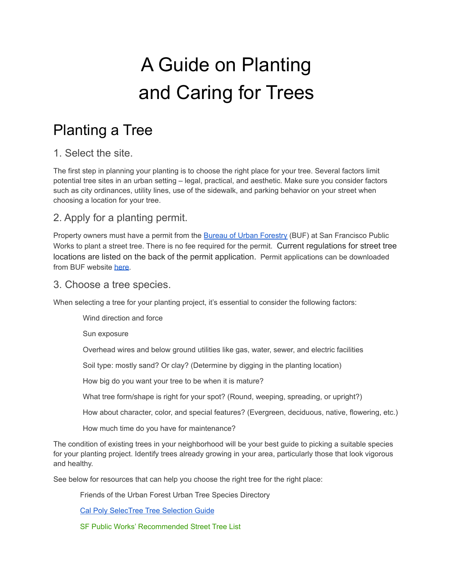# A Guide on Planting and Caring for Trees

# Planting a Tree

### 1. Select the site.

The first step in planning your planting is to choose the right place for your tree. Several factors limit potential tree sites in an urban setting – legal, practical, and aesthetic. Make sure you consider factors such as city ordinances, utility lines, use of the sidewalk, and parking behavior on your street when choosing a location for your tree.

### 2. Apply for a planting permit.

Property owners must have a permit from the Bureau of Urban [Forestry](https://sfpublicworks.org/trees) (BUF) at San Francisco Public Works to plant a street tree. There is no fee required for the permit. Current regulations for street tree locations are listed on the back of the permit application. Permit applications can be downloaded from BUF website [here](https://sfpublicworks.org/Permits-trees-and-plants).

### 3. Choose a tree species.

When selecting a tree for your planting project, it's essential to consider the following factors:

Wind direction and force

Sun exposure

Overhead wires and below ground utilities like gas, water, sewer, and electric facilities

Soil type: mostly sand? Or clay? (Determine by digging in the planting location)

How big do you want your tree to be when it is mature?

What tree form/shape is right for your spot? (Round, weeping, spreading, or upright?)

How about character, color, and special features? (Evergreen, deciduous, native, flowering, etc.)

How much time do you have for maintenance?

The condition of existing trees in your neighborhood will be your best guide to picking a suitable species for your planting project. Identify trees already growing in your area, particularly those that look vigorous and healthy.

See below for resources that can help you choose the right tree for the right place:

Friends of the Urban Forest Urban Tree Species Directory

Cal Poly [SelecTree](http://selectree.calpoly.edu/) Tree Selection Guide

SF Public Works' [Recommended](https://www.sfpublicworks.org/services/recommended-street-tree-and-plant-lists) Street Tree List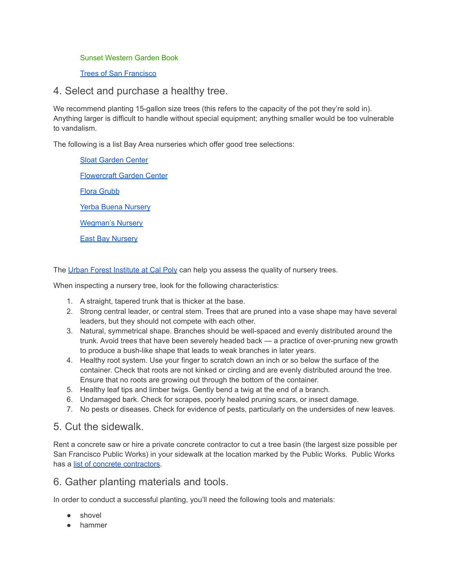#### Sunset [Western](https://www.sunset.com/garden/new-sunset-western-garden-book) Garden Book

#### Trees of San [Francisco](https://www.sftrees.com/the-book)

#### 4. Select and purchase a healthy tree.

We recommend planting 15-gallon size trees (this refers to the capacity of the pot they're sold in). Anything larger is difficult to handle without special equipment; anything smaller would be too vulnerable to vandalism.

The following is a list Bay Area nurseries which offer good tree selections:

Sloat [Garden](https://www.sloatgardens.com/) Center [Flowercraft](https://www.flowercraftgc.com/) Garden Center Flora [Grubb](https://www.floragrubb.com/) Yerba Buena [Nursery](https://nativeplants.com/) [Wegman's](https://www.wegmansnursery.com/) Nursery East Bay [Nursery](https://www.eastbaynursery.com/)

The Urban Forest [Institute](https://selectree.calpoly.edu/) at Cal Poly can help you assess the quality of nursery trees.

When inspecting a nursery tree, look for the following characteristics:

- 1. A straight, tapered trunk that is thicker at the base.
- 2. Strong central leader, or central stem. Trees that are pruned into a vase shape may have several leaders, but they should not compete with each other.
- 3. Natural, symmetrical shape. Branches should be well-spaced and evenly distributed around the trunk. Avoid trees that have been severely headed back — a practice of over-pruning new growth to produce a bush-like shape that leads to weak branches in later years.
- 4. Healthy root system. Use your finger to scratch down an inch or so below the surface of the container. Check that roots are not kinked or circling and are evenly distributed around the tree. Ensure that no roots are growing out through the bottom of the container.
- 5. Healthy leaf tips and limber twigs. Gently bend a twig at the end of a branch.
- 6. Undamaged bark. Check for scrapes, poorly healed pruning scars, or insect damage.
- 7. No pests or diseases. Check for evidence of pests, particularly on the undersides of new leaves.

### 5. Cut the sidewalk.

Rent a concrete saw or hire a private concrete contractor to cut a tree basin (the largest size possible per San Francisco Public Works) in your sidewalk at the location marked by the Public Works. Public Works has a list of concrete [contractors.](https://www.sfpublicworks.org/services/concrete-contractors)

### 6. Gather planting materials and tools.

In order to conduct a successful planting, you'll need the following tools and materials:

- shovel
- hammer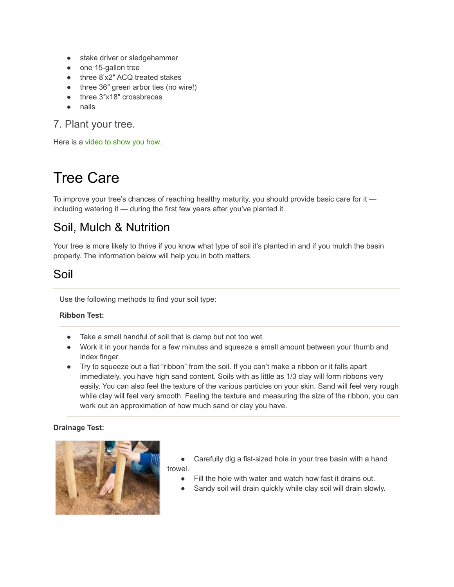- stake driver or sledgehammer
- one 15-gallon tree
- three 8'x2" ACQ treated stakes
- three 36" green arbor ties (no wire!)
- three 3″x18″ crossbraces
- nails

### 7. Plant your tree.

Here is a [video](https://youtu.be/4B62OhLUl2U) to show you how.

# Tree Care

To improve your tree's chances of reaching healthy maturity, you should provide basic care for it including watering it — during the first few years after you've planted it.

### Soil, Mulch & Nutrition

Your tree is more likely to thrive if you know what type of soil it's planted in and if you mulch the basin properly. The information below will help you in both matters.

### Soil

Use the following methods to find your soil type:

#### **Ribbon Test:**

- Take a small handful of soil that is damp but not too wet.
- Work it in your hands for a few minutes and squeeze a small amount between your thumb and index finger.
- Try to squeeze out a flat "ribbon" from the soil. If you can't make a ribbon or it falls apart immediately, you have high sand content. Soils with as little as 1/3 clay will form ribbons very easily. You can also feel the texture of the various particles on your skin. Sand will feel very rough while clay will feel very smooth. Feeling the texture and measuring the size of the ribbon, you can work out an approximation of how much sand or clay you have.

#### **Drainage Test:**



- Carefully dig a fist-sized hole in your tree basin with a hand trowel.
	- Fill the hole with water and watch how fast it drains out.
	- Sandy soil will drain quickly while clay soil will drain slowly.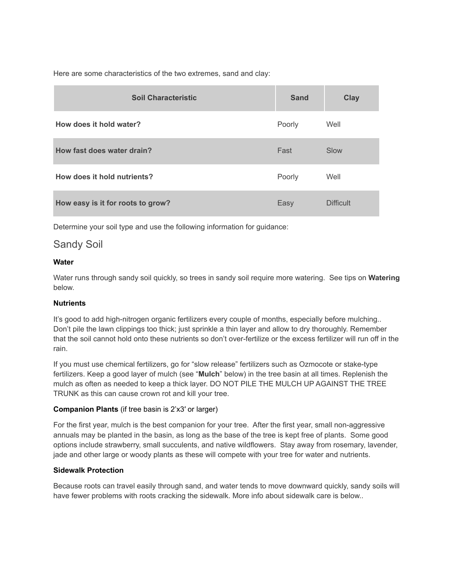Here are some characteristics of the two extremes, sand and clay:

| <b>Soil Characteristic</b>        | <b>Sand</b> | <b>Clay</b>      |
|-----------------------------------|-------------|------------------|
| How does it hold water?           | Poorly      | Well             |
| How fast does water drain?        | Fast        | Slow             |
| How does it hold nutrients?       | Poorly      | Well             |
| How easy is it for roots to grow? | Easy        | <b>Difficult</b> |

Determine your soil type and use the following information for guidance:

#### Sandy Soil

#### **Water**

Water runs through sandy soil quickly, so trees in sandy soil require more watering. See tips on **Watering** below.

#### **Nutrients**

It's good to add high-nitrogen organic fertilizers every couple of months, especially before mulching.. Don't pile the lawn clippings too thick; just sprinkle a thin layer and allow to dry thoroughly. Remember that the soil cannot hold onto these nutrients so don't over-fertilize or the excess fertilizer will run off in the rain.

If you must use chemical fertilizers, go for "slow release" fertilizers such as Ozmocote or stake-type fertilizers. Keep a good layer of mulch (see "**Mulch**" below) in the tree basin at all times. Replenish the mulch as often as needed to keep a thick layer. DO NOT PILE THE MULCH UP AGAINST THE TREE TRUNK as this can cause crown rot and kill your tree.

#### **Companion Plants** (if tree basin is 2'x3′ or larger)

For the first year, mulch is the best companion for your tree. After the first year, small non-aggressive annuals may be planted in the basin, as long as the base of the tree is kept free of plants. Some good options include strawberry, small succulents, and native wildflowers. Stay away from rosemary, lavender, jade and other large or woody plants as these will compete with your tree for water and nutrients.

#### **Sidewalk Protection**

Because roots can travel easily through sand, and water tends to move downward quickly, sandy soils will have fewer problems with roots cracking the sidewalk. More info about sidewalk care is below..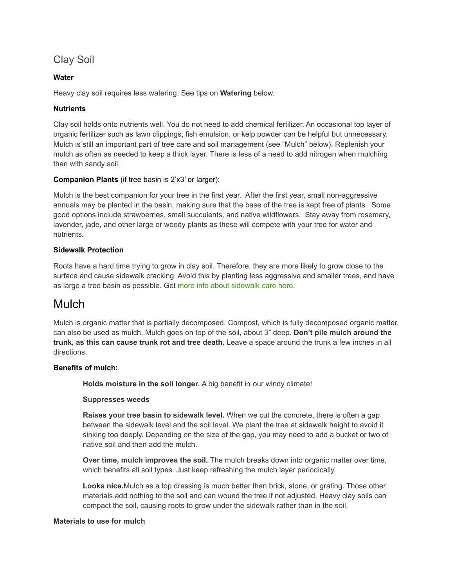### Clay Soil

#### **Water**

Heavy clay soil requires less watering. See tips on **Watering** below.

#### **Nutrients**

Clay soil holds onto nutrients well. You do not need to add chemical fertilizer. An occasional top layer of organic fertilizer such as lawn clippings, fish emulsion, or kelp powder can be helpful but unnecessary. Mulch is still an important part of tree care and soil management (see "Mulch" below). Replenish your mulch as often as needed to keep a thick layer. There is less of a need to add nitrogen when mulching than with sandy soil.

#### **Companion Plants** (if tree basin is 2'x3′ or larger):

Mulch is the best companion for your tree in the first year. After the first year, small non-aggressive annuals may be planted in the basin, making sure that the base of the tree is kept free of plants. Some good options include strawberries, small succulents, and native wildflowers. Stay away from rosemary, lavender, jade, and other large or woody plants as these will compete with your tree for water and nutrients.

#### **Sidewalk Protection**

Roots have a hard time trying to grow in clay soil. Therefore, they are more likely to grow close to the surface and cause sidewalk cracking. Avoid this by planting less aggressive and smaller trees, and have as large a tree basin as possible. Get more info about [sidewalk](https://fuf.net/resources-reference/tree-care-on-your-own/sidewalk-basin-care/) care here.

### Mulch

Mulch is organic matter that is partially decomposed. Compost, which is fully decomposed organic matter, can also be used as mulch. Mulch goes on top of the soil, about 3″ deep. **Don't pile mulch around the trunk, as this can cause trunk rot and tree death.** Leave a space around the trunk a few inches in all directions.

#### **Benefits of mulch:**

**Holds moisture in the soil longer.** A big benefit in our windy climate!

#### **Suppresses weeds**

**Raises your tree basin to sidewalk level.** When we cut the concrete, there is often a gap between the sidewalk level and the soil level. We plant the tree at sidewalk height to avoid it sinking too deeply. Depending on the size of the gap, you may need to add a bucket or two of native soil and then add the mulch.

**Over time, mulch improves the soil.** The mulch breaks down into organic matter over time, which benefits all soil types. Just keep refreshing the mulch layer periodically.

**Looks nice.**Mulch as a top dressing is much better than brick, stone, or grating. Those other materials add nothing to the soil and can wound the tree if not adjusted. Heavy clay soils can compact the soil, causing roots to grow under the sidewalk rather than in the soil.

#### **Materials to use for mulch**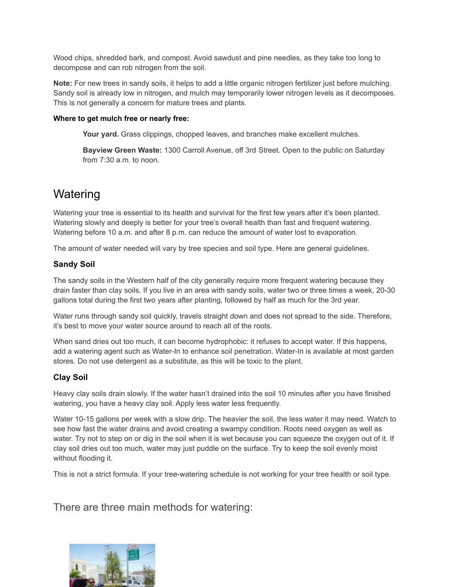Wood chips, shredded bark, and compost. Avoid sawdust and pine needles, as they take too long to decompose and can rob nitrogen from the soil.

**Note:** For new trees in sandy soils, it helps to add a little organic nitrogen fertilizer just before mulching. Sandy soil is already low in nitrogen, and mulch may temporarily lower nitrogen levels as it decomposes. This is not generally a concern for mature trees and plants.

#### **Where to get mulch free or nearly free:**

**Your yard.** Grass clippings, chopped leaves, and branches make excellent mulches.

**Bayview Green Waste:** 1300 Carroll Avenue, off 3rd Street. Open to the public on Saturday from 7:30 a.m. to noon.

### **Watering**

Watering your tree is essential to its health and survival for the first few years after it's been planted. Watering slowly and deeply is better for your tree's overall health than fast and frequent watering. Watering before 10 a.m. and after 8 p.m. can reduce the amount of water lost to evaporation.

The amount of water needed will vary by tree species and soil type. Here are general guidelines.

#### **Sandy Soil**

The sandy soils in the Western half of the city generally require more frequent watering because they drain faster than clay soils. If you live in an area with sandy soils, water two or three times a week, 20-30 gallons total during the first two years after planting, followed by half as much for the 3rd year.

Water runs through sandy soil quickly, travels straight down and does not spread to the side. Therefore, it's best to move your water source around to reach all of the roots.

When sand dries out too much, it can become hydrophobic: it refuses to accept water. If this happens, add a watering agent such as Water-In to enhance soil penetration. Water-In is available at most garden stores. Do not use detergent as a substitute, as this will be toxic to the plant.

#### **Clay Soil**

Heavy clay soils drain slowly. If the water hasn't drained into the soil 10 minutes after you have finished watering, you have a heavy clay soil. Apply less water less frequently.

Water 10-15 gallons per week with a slow drip. The heavier the soil, the less water it may need. Watch to see how fast the water drains and avoid creating a swampy condition. Roots need oxygen as well as water. Try not to step on or dig in the soil when it is wet because you can squeeze the oxygen out of it. If clay soil dries out too much, water may just puddle on the surface. Try to keep the soil evenly moist without flooding it.

This is not a strict formula. If your tree-watering schedule is not working for your tree health or soil type.

There are three main methods for watering:

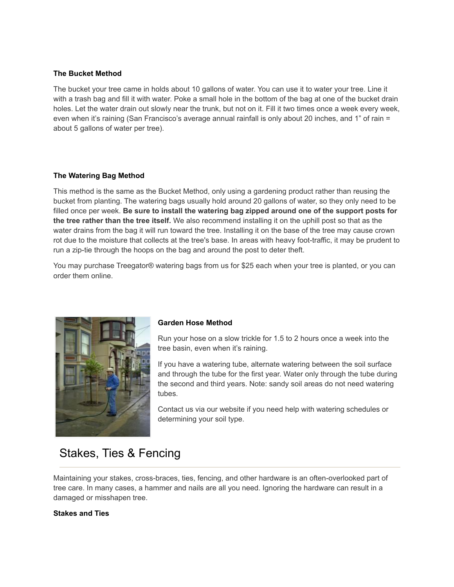#### **The Bucket Method**

The bucket your tree came in holds about 10 gallons of water. You can use it to water your tree. Line it with a trash bag and fill it with water. Poke a small hole in the bottom of the bag at one of the bucket drain holes. Let the water drain out slowly near the trunk, but not on it. Fill it two times once a week every week, even when it's raining (San Francisco's average annual rainfall is only about 20 inches, and 1" of rain = about 5 gallons of water per tree).

#### **The Watering Bag Method**

This method is the same as the Bucket Method, only using a gardening product rather than reusing the bucket from planting. The watering bags usually hold around 20 gallons of water, so they only need to be filled once per week. **Be sure to install the watering bag zipped around one of the support posts for the tree rather than the tree itself.** We also recommend installing it on the uphill post so that as the water drains from the bag it will run toward the tree. Installing it on the base of the tree may cause crown rot due to the moisture that collects at the tree's base. In areas with heavy foot-traffic, it may be prudent to run a zip-tie through the hoops on the bag and around the post to deter theft.

You may purchase Treegator® watering bags from us for \$25 each when your tree is planted, or you can order them online.



#### **Garden Hose Method**

Run your hose on a slow trickle for 1.5 to 2 hours once a week into the tree basin, even when it's raining.

If you have a watering tube, alternate watering between the soil surface and through the tube for the first year. Water only through the tube during the second and third years. Note: sandy soil areas do not need watering tubes.

Contact us via our website if you need help with watering schedules or determining your soil type.

### Stakes, Ties & Fencing

Maintaining your stakes, cross-braces, ties, fencing, and other hardware is an often-overlooked part of tree care. In many cases, a hammer and nails are all you need. Ignoring the hardware can result in a damaged or misshapen tree.

#### **Stakes and Ties**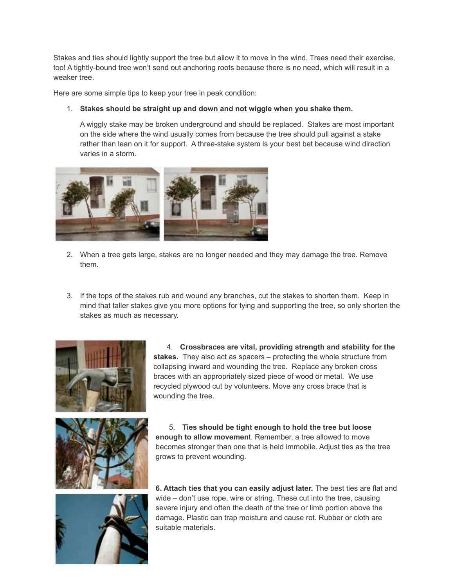Stakes and ties should lightly support the tree but allow it to move in the wind. Trees need their exercise, too! A tightly-bound tree won't send out anchoring roots because there is no need, which will result in a weaker tree.

Here are some simple tips to keep your tree in peak condition:

#### 1. **Stakes should be straight up and down and not wiggle when you shake them.**

A wiggly stake may be broken underground and should be replaced. Stakes are most important on the side where the wind usually comes from because the tree should pull against a stake rather than lean on it for support. A three-stake system is your best bet because wind direction varies in a storm.



- 2. When a tree gets large, stakes are no longer needed and they may damage the tree. Remove them.
- 3. If the tops of the stakes rub and wound any branches, cut the stakes to shorten them. Keep in mind that taller stakes give you more options for tying and supporting the tree, so only shorten the stakes as much as necessary.



4. **Crossbraces are vital, providing strength and stability for the stakes.** They also act as spacers – protecting the whole structure from collapsing inward and wounding the tree. Replace any broken cross braces with an appropriately sized piece of wood or metal. We use recycled plywood cut by volunteers. Move any cross brace that is wounding the tree.





5. **Ties should be tight enough to hold the tree but loose enough to allow movemen**t. Remember, a tree allowed to move becomes stronger than one that is held immobile. Adjust ties as the tree grows to prevent wounding.

**6. Attach ties that you can easily adjust later.** The best ties are flat and wide – don't use rope, wire or string. These cut into the tree, causing severe injury and often the death of the tree or limb portion above the damage. Plastic can trap moisture and cause rot. Rubber or cloth are suitable materials.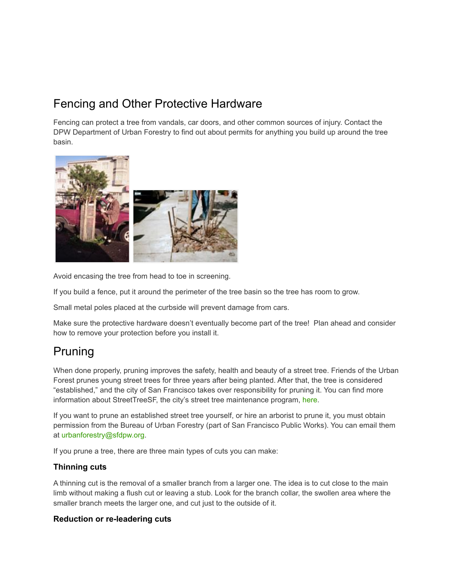### Fencing and Other Protective Hardware

Fencing can protect a tree from vandals, car doors, and other common sources of injury. Contact the DPW Department of Urban Forestry to find out about permits for anything you build up around the tree basin.



Avoid encasing the tree from head to toe in screening.

If you build a fence, put it around the perimeter of the tree basin so the tree has room to grow.

Small metal poles placed at the curbside will prevent damage from cars.

Make sure the protective hardware doesn't eventually become part of the tree! Plan ahead and consider how to remove your protection before you install it.

### Pruning

When done properly, pruning improves the safety, health and beauty of a street tree. Friends of the Urban Forest prunes young street trees for three years after being planted. After that, the tree is considered "established," and the city of San Francisco takes over responsibility for pruning it. You can find more information about StreetTreeSF, the city's street tree maintenance program, [here](http://sfpublicworks.org/services/proposition-e-street-tree-and-sidewalk-maintenance-frequently-asked-questions).

If you want to prune an established street tree yourself, or hire an arborist to prune it, you must obtain permission from the Bureau of Urban Forestry (part of San Francisco Public Works). You can email them at urbanforestry@sfdpw.org.

If you prune a tree, there are three main types of cuts you can make:

#### **Thinning cuts**

A thinning cut is the removal of a smaller branch from a larger one. The idea is to cut close to the main limb without making a flush cut or leaving a stub. Look for the branch collar, the swollen area where the smaller branch meets the larger one, and cut just to the outside of it.

#### **Reduction or re-leadering cuts**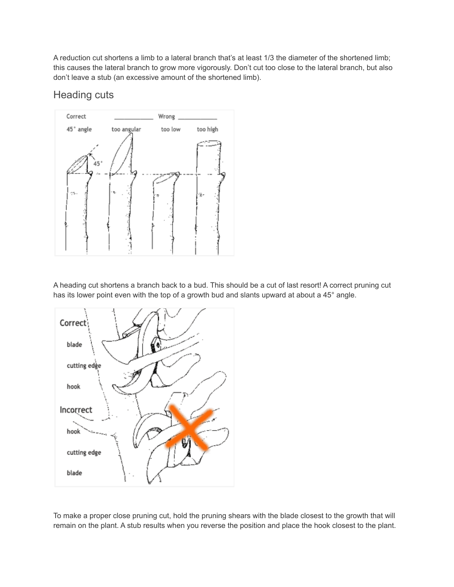A reduction cut shortens a limb to a lateral branch that's at least 1/3 the diameter of the shortened limb; this causes the lateral branch to grow more vigorously. Don't cut too close to the lateral branch, but also don't leave a stub (an excessive amount of the shortened limb).

### Heading cuts



A heading cut shortens a branch back to a bud. This should be a cut of last resort! A correct pruning cut has its lower point even with the top of a growth bud and slants upward at about a 45° angle.



To make a proper close pruning cut, hold the pruning shears with the blade closest to the growth that will remain on the plant. A stub results when you reverse the position and place the hook closest to the plant.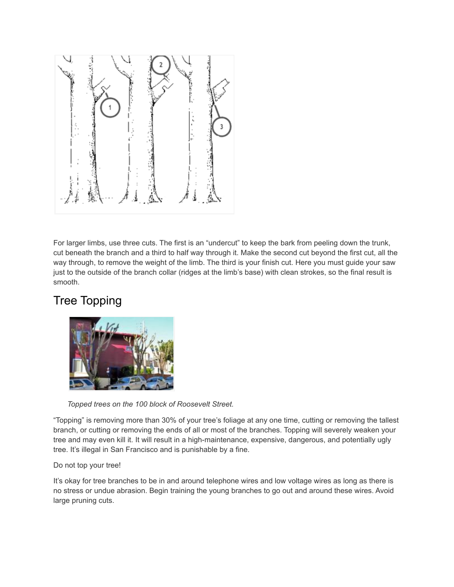

For larger limbs, use three cuts. The first is an "undercut" to keep the bark from peeling down the trunk, cut beneath the branch and a third to half way through it. Make the second cut beyond the first cut, all the way through, to remove the weight of the limb. The third is your finish cut. Here you must guide your saw just to the outside of the branch collar (ridges at the limb's base) with clean strokes, so the final result is smooth.

## Tree Topping



*Topped trees on the 100 block of Roosevelt Street.*

"Topping" is removing more than 30% of your tree's foliage at any one time, cutting or removing the tallest branch, or cutting or removing the ends of all or most of the branches. Topping will severely weaken your tree and may even kill it. It will result in a high-maintenance, expensive, dangerous, and potentially ugly tree. It's illegal in San Francisco and is punishable by a fine.

#### Do not top your tree!

It's okay for tree branches to be in and around telephone wires and low voltage wires as long as there is no stress or undue abrasion. Begin training the young branches to go out and around these wires. Avoid large pruning cuts.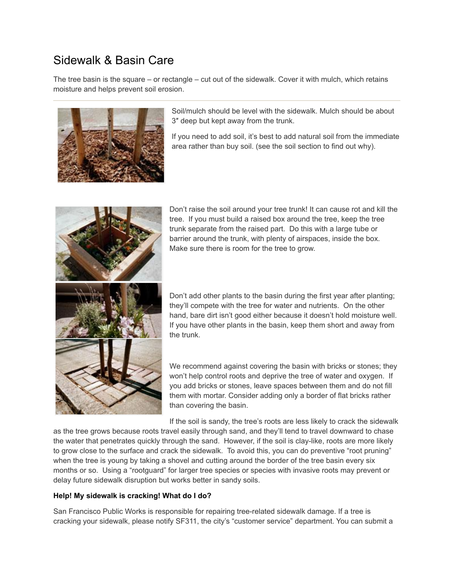### Sidewalk & Basin Care

The tree basin is the square – or rectangle – cut out of the sidewalk. Cover it with mulch, which retains moisture and helps prevent soil erosion.



Soil/mulch should be level with the sidewalk. Mulch should be about 3″ deep but kept away from the trunk.

If you need to add soil, it's best to add natural soil from the immediate area rather than buy soil. (see the soil section to find out why).



Don't raise the soil around your tree trunk! It can cause rot and kill the tree. If you must build a raised box around the tree, keep the tree trunk separate from the raised part. Do this with a large tube or barrier around the trunk, with plenty of airspaces, inside the box. Make sure there is room for the tree to grow.

Don't add other plants to the basin during the first year after planting; they'll compete with the tree for water and nutrients. On the other hand, bare dirt isn't good either because it doesn't hold moisture well. If you have other plants in the basin, keep them short and away from the trunk.

We recommend against covering the basin with bricks or stones; they won't help control roots and deprive the tree of water and oxygen. If you add bricks or stones, leave spaces between them and do not fill them with mortar. Consider adding only a border of flat bricks rather than covering the basin.

If the soil is sandy, the tree's roots are less likely to crack the sidewalk

as the tree grows because roots travel easily through sand, and they'll tend to travel downward to chase the water that penetrates quickly through the sand. However, if the soil is clay-like, roots are more likely to grow close to the surface and crack the sidewalk. To avoid this, you can do preventive "root pruning" when the tree is young by taking a shovel and cutting around the border of the tree basin every six months or so. Using a "rootguard" for larger tree species or species with invasive roots may prevent or delay future sidewalk disruption but works better in sandy soils.

#### **Help! My sidewalk is cracking! What do I do?**

San Francisco Public Works is responsible for repairing tree-related sidewalk damage. If a tree is cracking your sidewalk, please notify SF311, the city's "customer service" department. You can submit a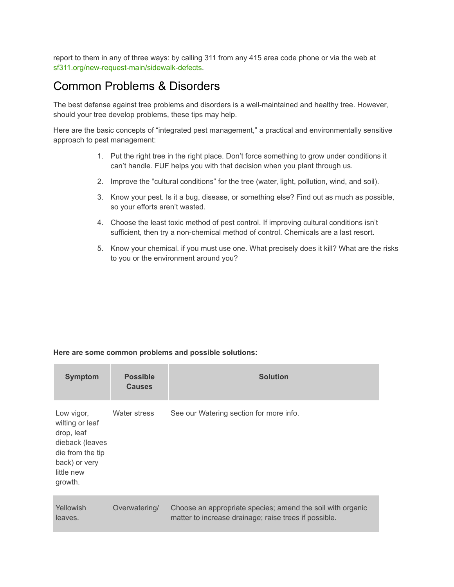report to them in any of three ways: by calling 311 from any 415 area code phone or via the web at [sf311.org/new-request-main/sidewalk-defects](https://sf311.org/new-request-main/sidewalk-defects).

### Common Problems & Disorders

The best defense against tree problems and disorders is a well-maintained and healthy tree. However, should your tree develop problems, these tips may help.

Here are the basic concepts of "integrated pest management," a practical and environmentally sensitive approach to pest management:

- 1. Put the right tree in the right place. Don't force something to grow under conditions it can't handle. FUF helps you with that decision when you plant through us.
- 2. Improve the "cultural conditions" for the tree (water, light, pollution, wind, and soil).
- 3. Know your pest. Is it a bug, disease, or something else? Find out as much as possible, so your efforts aren't wasted.
- 4. Choose the least toxic method of pest control. If improving cultural conditions isn't sufficient, then try a non-chemical method of control. Chemicals are a last resort.
- 5. Know your chemical. if you must use one. What precisely does it kill? What are the risks to you or the environment around you?

#### **Here are some common problems and possible solutions:**

| <b>Symptom</b>                                                                                                               | <b>Possible</b><br><b>Causes</b> | <b>Solution</b>                                                                                                     |
|------------------------------------------------------------------------------------------------------------------------------|----------------------------------|---------------------------------------------------------------------------------------------------------------------|
| Low vigor,<br>wilting or leaf<br>drop, leaf<br>dieback (leaves<br>die from the tip<br>back) or very<br>little new<br>growth. | Water stress                     | See our Watering section for more info.                                                                             |
| Yellowish<br>leaves.                                                                                                         | Overwatering/                    | Choose an appropriate species; amend the soil with organic<br>matter to increase drainage; raise trees if possible. |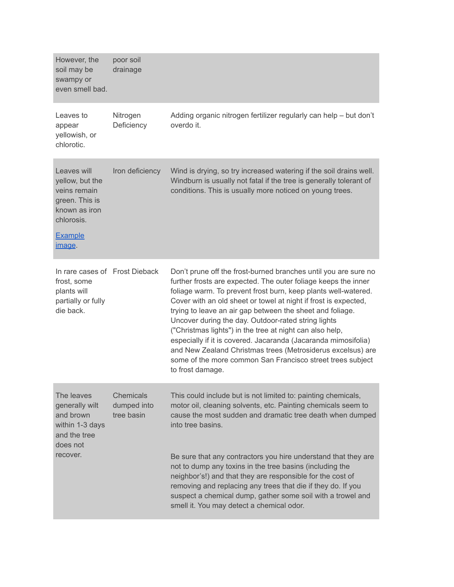| However, the<br>soil may be<br>swampy or<br>even smell bad.                                                                 | poor soil<br>drainage                  |                                                                                                                                                                                                                                                                                                                                                                                                                                                                                                                                                                                                                                                                           |
|-----------------------------------------------------------------------------------------------------------------------------|----------------------------------------|---------------------------------------------------------------------------------------------------------------------------------------------------------------------------------------------------------------------------------------------------------------------------------------------------------------------------------------------------------------------------------------------------------------------------------------------------------------------------------------------------------------------------------------------------------------------------------------------------------------------------------------------------------------------------|
| Leaves to<br>appear<br>yellowish, or<br>chlorotic.                                                                          | Nitrogen<br>Deficiency                 | Adding organic nitrogen fertilizer regularly can help - but don't<br>overdo it.                                                                                                                                                                                                                                                                                                                                                                                                                                                                                                                                                                                           |
| Leaves will<br>yellow, but the<br>veins remain<br>green. This is<br>known as iron<br>chlorosis.<br><b>Example</b><br>image. | Iron deficiency                        | Wind is drying, so try increased watering if the soil drains well.<br>Windburn is usually not fatal if the tree is generally tolerant of<br>conditions. This is usually more noticed on young trees.                                                                                                                                                                                                                                                                                                                                                                                                                                                                      |
| In rare cases of Frost Dieback<br>frost, some<br>plants will<br>partially or fully<br>die back.                             |                                        | Don't prune off the frost-burned branches until you are sure no<br>further frosts are expected. The outer foliage keeps the inner<br>foliage warm. To prevent frost burn, keep plants well-watered.<br>Cover with an old sheet or towel at night if frost is expected,<br>trying to leave an air gap between the sheet and foliage.<br>Uncover during the day. Outdoor-rated string lights<br>("Christmas lights") in the tree at night can also help,<br>especially if it is covered. Jacaranda (Jacaranda mimosifolia)<br>and New Zealand Christmas trees (Metrosiderus excelsus) are<br>some of the more common San Francisco street trees subject<br>to frost damage. |
| The leaves<br>generally wilt<br>and brown<br>within 1-3 days<br>and the tree<br>does not<br>recover.                        | Chemicals<br>dumped into<br>tree basin | This could include but is not limited to: painting chemicals,<br>motor oil, cleaning solvents, etc. Painting chemicals seem to<br>cause the most sudden and dramatic tree death when dumped<br>into tree basins.<br>Be sure that any contractors you hire understand that they are<br>not to dump any toxins in the tree basins (including the<br>neighbor's!) and that they are responsible for the cost of<br>removing and replacing any trees that die if they do. If you<br>suspect a chemical dump, gather some soil with a trowel and<br>smell it. You may detect a chemical odor.                                                                                  |